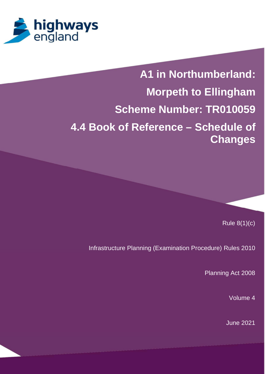

# **A1 in Northumberland: Morpeth to Ellingham Scheme Number: TR010059 4.4 Book of Reference – Schedule of Changes**

Rule 8(1)(c)

Infrastructure Planning (Examination Procedure) Rules 2010

Planning Act 2008

Volume 4

June 2021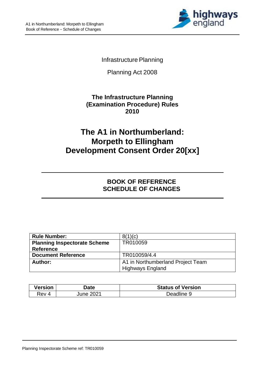

#### Infrastructure Planning

Planning Act 2008

#### **The Infrastructure Planning (Examination Procedure) Rules 2010**

# **The A1 in Northumberland: Morpeth to Ellingham Development Consent Order 20[xx]**

### **BOOK OF REFERENCE SCHEDULE OF CHANGES**

| <b>Rule Number:</b>                 | 8(1)(c)                           |  |
|-------------------------------------|-----------------------------------|--|
| <b>Planning Inspectorate Scheme</b> | TR010059                          |  |
| <b>Reference</b>                    |                                   |  |
| <b>Document Reference</b>           | TR010059/4.4                      |  |
| Author:                             | A1 in Northumberland Project Team |  |
|                                     | <b>Highways England</b>           |  |

| <b>Version</b> | Date   | <b>Status of Version</b> |
|----------------|--------|--------------------------|
| रev 4          | uune : | Deadline 9               |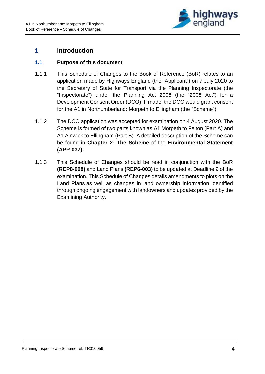

#### **1 Introduction**

#### **1.1 Purpose of this document**

- 1.1.1 This Schedule of Changes to the Book of Reference (BoR) relates to an application made by Highways England (the "Applicant") on 7 July 2020 to the Secretary of State for Transport via the Planning Inspectorate (the "Inspectorate") under the Planning Act 2008 (the "2008 Act") for a Development Consent Order (DCO). If made, the DCO would grant consent for the A1 in Northumberland: Morpeth to Ellingham (the "Scheme").
- 1.1.2 The DCO application was accepted for examination on 4 August 2020. The Scheme is formed of two parts known as A1 Morpeth to Felton (Part A) and A1 Alnwick to Ellingham (Part B). A detailed description of the Scheme can be found in **Chapter 2: The Scheme** of the **Environmental Statement (APP-037).**
- 1.1.3 This Schedule of Changes should be read in conjunction with the BoR **(REP8-008)** and Land Plans **(REP6-003)** to be updated at Deadline 9 of the examination. This Schedule of Changes details amendments to plots on the Land Plans as well as changes in land ownership information identified through ongoing engagement with landowners and updates provided by the Examining Authority.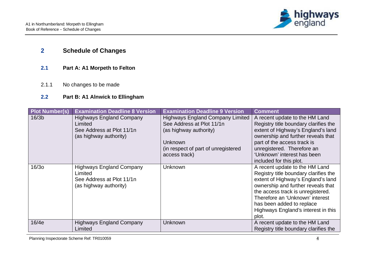

## **2 Schedule of Changes**

- **2.1 Part A: A1 Morpeth to Felton**
- 2.1.1 No changes to be made

#### **2.2 Part B: A1 Alnwick to Ellingham**

| <b>Plot Number(s)</b> | <b>Examination Deadline 8 Version</b>                                                             | <b>Examination Deadline 9 Version</b>                                                                                                                             | <b>Comment</b>                                                                                                                                                                                                                                                                                           |
|-----------------------|---------------------------------------------------------------------------------------------------|-------------------------------------------------------------------------------------------------------------------------------------------------------------------|----------------------------------------------------------------------------------------------------------------------------------------------------------------------------------------------------------------------------------------------------------------------------------------------------------|
| 16/3 <sub>b</sub>     | <b>Highways England Company</b><br>Limited<br>See Address at Plot 11/1n<br>(as highway authority) | <b>Highways England Company Limited</b><br>See Address at Plot 11/1n<br>(as highway authority)<br>Unknown<br>(in respect of part of unregistered<br>access track) | A recent update to the HM Land<br>Registry title boundary clarifies the<br>extent of Highway's England's land<br>ownership and further reveals that<br>part of the access track is<br>unregistered. Therefore an<br>'Unknown' interest has been<br>included for this plot.                               |
| 16/30                 | <b>Highways England Company</b><br>Limited<br>See Address at Plot 11/1n<br>(as highway authority) | <b>Unknown</b>                                                                                                                                                    | A recent update to the HM Land<br>Registry title boundary clarifies the<br>extent of Highway's England's land<br>ownership and further reveals that<br>the access track is unregistered.<br>Therefore an 'Unknown' interest<br>has been added to replace<br>Highways England's interest in this<br>plot. |
| 16/4e                 | <b>Highways England Company</b><br>Limited                                                        | <b>Unknown</b>                                                                                                                                                    | A recent update to the HM Land<br>Registry title boundary clarifies the                                                                                                                                                                                                                                  |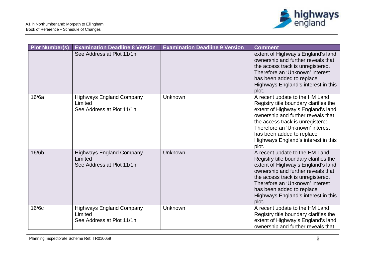

| <b>Plot Number(s)</b> | <b>Examination Deadline 8 Version</b>                                   | <b>Examination Deadline 9 Version</b> | <b>Comment</b>                                                                                                                                                                                                                                                                                           |
|-----------------------|-------------------------------------------------------------------------|---------------------------------------|----------------------------------------------------------------------------------------------------------------------------------------------------------------------------------------------------------------------------------------------------------------------------------------------------------|
|                       | See Address at Plot 11/1n                                               |                                       | extent of Highway's England's land<br>ownership and further reveals that<br>the access track is unregistered.<br>Therefore an 'Unknown' interest<br>has been added to replace<br>Highways England's interest in this<br>plot.                                                                            |
| 16/6a                 | <b>Highways England Company</b><br>Limited<br>See Address at Plot 11/1n | Unknown                               | A recent update to the HM Land<br>Registry title boundary clarifies the<br>extent of Highway's England's land<br>ownership and further reveals that<br>the access track is unregistered.<br>Therefore an 'Unknown' interest<br>has been added to replace<br>Highways England's interest in this<br>plot. |
| 16/6b                 | <b>Highways England Company</b><br>Limited<br>See Address at Plot 11/1n | Unknown                               | A recent update to the HM Land<br>Registry title boundary clarifies the<br>extent of Highway's England's land<br>ownership and further reveals that<br>the access track is unregistered.<br>Therefore an 'Unknown' interest<br>has been added to replace<br>Highways England's interest in this<br>plot. |
| 16/6c                 | <b>Highways England Company</b><br>Limited<br>See Address at Plot 11/1n | Unknown                               | A recent update to the HM Land<br>Registry title boundary clarifies the<br>extent of Highway's England's land<br>ownership and further reveals that                                                                                                                                                      |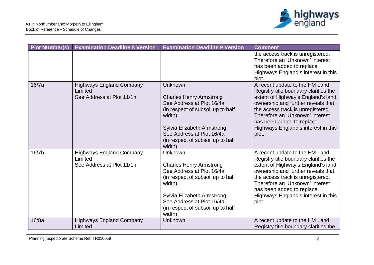

| <b>Plot Number(s)</b> | <b>Examination Deadline 8 Version</b>                                   | <b>Examination Deadline 9 Version</b>                                                                                                                                                                                           | <b>Comment</b>                                                                                                                                                                                                                                                                                           |
|-----------------------|-------------------------------------------------------------------------|---------------------------------------------------------------------------------------------------------------------------------------------------------------------------------------------------------------------------------|----------------------------------------------------------------------------------------------------------------------------------------------------------------------------------------------------------------------------------------------------------------------------------------------------------|
|                       |                                                                         |                                                                                                                                                                                                                                 | the access track is unregistered.<br>Therefore an 'Unknown' interest<br>has been added to replace<br>Highways England's interest in this<br>plot.                                                                                                                                                        |
| 16/7a                 | <b>Highways England Company</b><br>Limited<br>See Address at Plot 11/1n | Unknown<br><b>Charles Henry Armstrong</b><br>See Address at Plot 16/4a<br>(in respect of subsoil up to half<br>width)<br>Sylvia Elizabeth Armstrong<br>See Address at Plot 16/4a<br>(in respect of subsoil up to half<br>width) | A recent update to the HM Land<br>Registry title boundary clarifies the<br>extent of Highway's England's land<br>ownership and further reveals that<br>the access track is unregistered.<br>Therefore an 'Unknown' interest<br>has been added to replace<br>Highways England's interest in this<br>plot. |
| 16/7b                 | <b>Highways England Company</b><br>Limited<br>See Address at Plot 11/1n | Unknown<br><b>Charles Henry Armstrong</b><br>See Address at Plot 16/4a<br>(in respect of subsoil up to half<br>width)<br>Sylvia Elizabeth Armstrong<br>See Address at Plot 16/4a<br>(in respect of subsoil up to half<br>width) | A recent update to the HM Land<br>Registry title boundary clarifies the<br>extent of Highway's England's land<br>ownership and further reveals that<br>the access track is unregistered.<br>Therefore an 'Unknown' interest<br>has been added to replace<br>Highways England's interest in this<br>plot. |
| 16/8a                 | <b>Highways England Company</b><br>Limited                              | Unknown                                                                                                                                                                                                                         | A recent update to the HM Land<br>Registry title boundary clarifies the                                                                                                                                                                                                                                  |

Planning Inspectorate Scheme Ref: TR010059 6